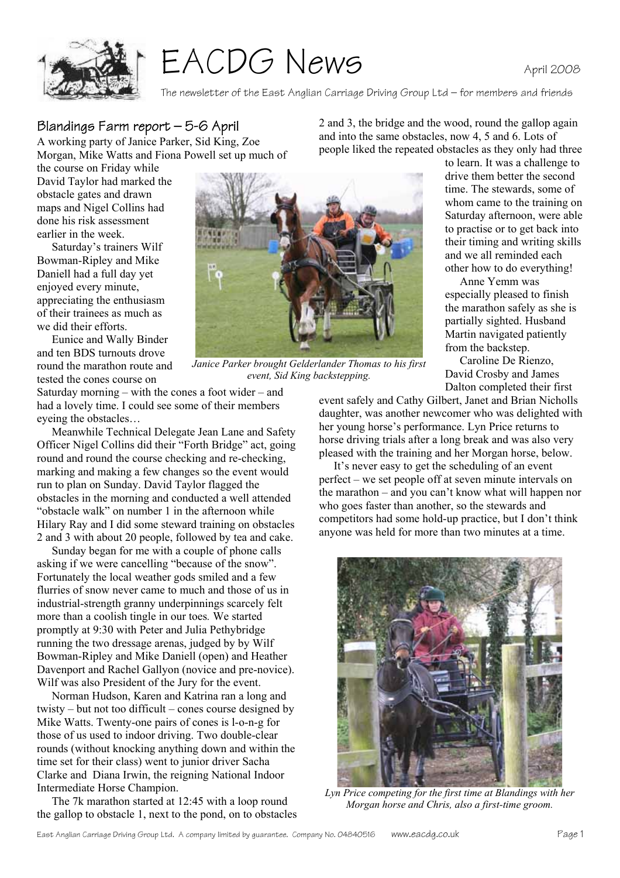

# EACDG News

The newsletter of the East Anglian Carriage Driving Group Ltd – for members and friends

## Blandings Farm report – 5-6 April

A working party of Janice Parker, Sid King, Zoe Morgan, Mike Watts and Fiona Powell set up much of 2 and 3, the bridge and the wood, round the gallop again and into the same obstacles, now 4, 5 and 6. Lots of people liked the repeated obstacles as they only had three

the course on Friday while David Taylor had marked the obstacle gates and drawn maps and Nigel Collins had done his risk assessment earlier in the week.

 Saturday's trainers Wilf Bowman-Ripley and Mike Daniell had a full day yet enjoyed every minute, appreciating the enthusiasm of their trainees as much as we did their efforts.

 Eunice and Wally Binder and ten BDS turnouts drove round the marathon route and tested the cones course on

Saturday morning – with the cones a foot wider – and had a lovely time. I could see some of their members eyeing the obstacles…

 Meanwhile Technical Delegate Jean Lane and Safety Officer Nigel Collins did their "Forth Bridge" act, going round and round the course checking and re-checking, marking and making a few changes so the event would run to plan on Sunday. David Taylor flagged the obstacles in the morning and conducted a well attended "obstacle walk" on number 1 in the afternoon while Hilary Ray and I did some steward training on obstacles 2 and 3 with about 20 people, followed by tea and cake.

Sunday began for me with a couple of phone calls asking if we were cancelling "because of the snow". Fortunately the local weather gods smiled and a few flurries of snow never came to much and those of us in industrial-strength granny underpinnings scarcely felt more than a coolish tingle in our toes*.* We started promptly at 9:30 with Peter and Julia Pethybridge running the two dressage arenas, judged by by Wilf Bowman-Ripley and Mike Daniell (open) and Heather Davenport and Rachel Gallyon (novice and pre-novice). Wilf was also President of the Jury for the event.

Norman Hudson, Karen and Katrina ran a long and twisty – but not too difficult – cones course designed by Mike Watts. Twenty-one pairs of cones is l-o-n-g for those of us used to indoor driving. Two double-clear rounds (without knocking anything down and within the time set for their class) went to junior driver Sacha Clarke and Diana Irwin, the reigning National Indoor Intermediate Horse Champion.

The 7k marathon started at 12:45 with a loop round the gallop to obstacle 1, next to the pond, on to obstacles



*Janice Parker brought Gelderlander Thomas to his first event, Sid King backstepping.*

to learn. It was a challenge to drive them better the second time. The stewards, some of whom came to the training on Saturday afternoon, were able to practise or to get back into their timing and writing skills and we all reminded each

other how to do everything! Anne Yemm was especially pleased to finish the marathon safely as she is partially sighted. Husband Martin navigated patiently from the backstep.

Caroline De Rienzo, David Crosby and James Dalton completed their first

event safely and Cathy Gilbert, Janet and Brian Nicholls daughter, was another newcomer who was delighted with her young horse's performance. Lyn Price returns to horse driving trials after a long break and was also very pleased with the training and her Morgan horse, below.

It's never easy to get the scheduling of an event perfect – we set people off at seven minute intervals on the marathon – and you can't know what will happen nor who goes faster than another, so the stewards and competitors had some hold-up practice, but I don't think anyone was held for more than two minutes at a time.



*Lyn Price competing for the first time at Blandings with her Morgan horse and Chris, also a first-time groom.*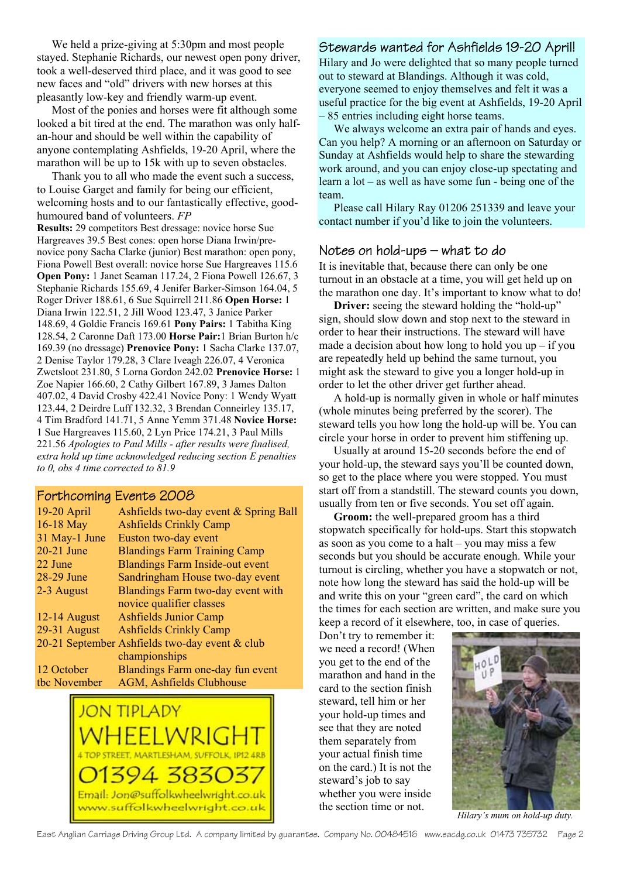We held a prize-giving at 5:30pm and most people stayed. Stephanie Richards, our newest open pony driver, took a well-deserved third place, and it was good to see new faces and "old" drivers with new horses at this pleasantly low-key and friendly warm-up event.

Most of the ponies and horses were fit although some looked a bit tired at the end. The marathon was only halfan-hour and should be well within the capability of anyone contemplating Ashfields, 19-20 April, where the marathon will be up to 15k with up to seven obstacles.

Thank you to all who made the event such a success, to Louise Garget and family for being our efficient, welcoming hosts and to our fantastically effective, goodhumoured band of volunteers. *FP*

**Results:** 29 competitors Best dressage: novice horse Sue Hargreaves 39.5 Best cones: open horse Diana Irwin/prenovice pony Sacha Clarke (junior) Best marathon: open pony, Fiona Powell Best overall: novice horse Sue Hargreaves 115.6 **Open Pony:** 1 Janet Seaman 117.24, 2 Fiona Powell 126.67, 3 Stephanie Richards 155.69, 4 Jenifer Barker-Simson 164.04, 5 Roger Driver 188.61, 6 Sue Squirrell 211.86 **Open Horse:** 1 Diana Irwin 122.51, 2 Jill Wood 123.47, 3 Janice Parker 148.69, 4 Goldie Francis 169.61 **Pony Pairs:** 1 Tabitha King 128.54, 2 Caronne Daft 173.00 **Horse Pair:**1 Brian Burton h/c 169.39 (no dressage) **Prenovice Pony:** 1 Sacha Clarke 137.07, 2 Denise Taylor 179.28, 3 Clare Iveagh 226.07, 4 Veronica Zwetsloot 231.80, 5 Lorna Gordon 242.02 **Prenovice Horse:** 1 Zoe Napier 166.60, 2 Cathy Gilbert 167.89, 3 James Dalton 407.02, 4 David Crosby 422.41 Novice Pony: 1 Wendy Wyatt 123.44, 2 Deirdre Luff 132.32, 3 Brendan Conneirley 135.17, 4 Tim Bradford 141.71, 5 Anne Yemm 371.48 **Novice Horse:** 1 Sue Hargreaves 115.60, 2 Lyn Price 174.21, 3 Paul Mills 221.56 *Apologies to Paul Mills - after results were finalised, extra hold up time acknowledged reducing section E penalties to 0, obs 4 time corrected to 81.9* 

#### Forthcoming Events 2008

| 19-20 April    | Ashfields two-day event & Spring Ball          |
|----------------|------------------------------------------------|
| 16-18 May      | <b>Ashfields Crinkly Camp</b>                  |
| 31 May-1 June  | Euston two-day event                           |
| $20-21$ June   | <b>Blandings Farm Training Camp</b>            |
| 22 June        | <b>Blandings Farm Inside-out event</b>         |
| 28-29 June     | Sandringham House two-day event                |
| 2-3 August     | Blandings Farm two-day event with              |
|                | novice qualifier classes                       |
| $12-14$ August | <b>Ashfields Junior Camp</b>                   |
| 29-31 August   | <b>Ashfields Crinkly Camp</b>                  |
|                | 20-21 September Ashfields two-day event & club |
|                | championships                                  |
| 12 October     | Blandings Farm one-day fun event               |
| tbc November   | <b>AGM, Ashfields Clubhouse</b>                |



#### Stewards wanted for Ashfields 19-20 April!

Hilary and Jo were delighted that so many people turned out to steward at Blandings. Although it was cold, everyone seemed to enjoy themselves and felt it was a useful practice for the big event at Ashfields, 19-20 April – 85 entries including eight horse teams.

 We always welcome an extra pair of hands and eyes. Can you help? A morning or an afternoon on Saturday or Sunday at Ashfields would help to share the stewarding work around, and you can enjoy close-up spectating and learn a lot – as well as have some fun - being one of the team.

 Please call Hilary Ray 01206 251339 and leave your contact number if you'd like to join the volunteers.

#### Notes on hold-ups – what to do

It is inevitable that, because there can only be one turnout in an obstacle at a time, you will get held up on the marathon one day. It's important to know what to do!

**Driver:** seeing the steward holding the "hold-up" sign, should slow down and stop next to the steward in order to hear their instructions. The steward will have made a decision about how long to hold you up  $-$  if you are repeatedly held up behind the same turnout, you might ask the steward to give you a longer hold-up in order to let the other driver get further ahead.

 A hold-up is normally given in whole or half minutes (whole minutes being preferred by the scorer). The steward tells you how long the hold-up will be. You can circle your horse in order to prevent him stiffening up.

 Usually at around 15-20 seconds before the end of your hold-up, the steward says you'll be counted down, so get to the place where you were stopped. You must start off from a standstill. The steward counts you down, usually from ten or five seconds. You set off again.

**Groom:** the well-prepared groom has a third stopwatch specifically for hold-ups. Start this stopwatch as soon as you come to a halt – you may miss a few seconds but you should be accurate enough. While your turnout is circling, whether you have a stopwatch or not, note how long the steward has said the hold-up will be and write this on your "green card", the card on which the times for each section are written, and make sure you keep a record of it elsewhere, too, in case of queries.

Don't try to remember it: we need a record! (When you get to the end of the marathon and hand in the card to the section finish steward, tell him or her your hold-up times and see that they are noted them separately from your actual finish time on the card.) It is not the steward's job to say whether you were inside the section time or not.



*Hilary's mum on hold-up duty.*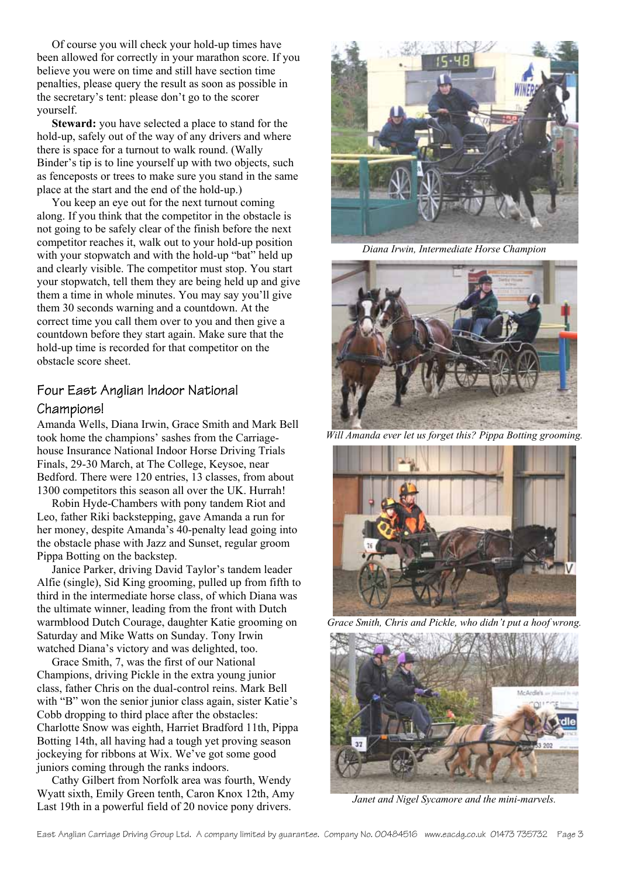Of course you will check your hold-up times have been allowed for correctly in your marathon score. If you believe you were on time and still have section time penalties, please query the result as soon as possible in the secretary's tent: please don't go to the scorer yourself.

**Steward:** you have selected a place to stand for the hold-up, safely out of the way of any drivers and where there is space for a turnout to walk round. (Wally Binder's tip is to line yourself up with two objects, such as fenceposts or trees to make sure you stand in the same place at the start and the end of the hold-up.)

 You keep an eye out for the next turnout coming along. If you think that the competitor in the obstacle is not going to be safely clear of the finish before the next competitor reaches it, walk out to your hold-up position with your stopwatch and with the hold-up "bat" held up and clearly visible. The competitor must stop. You start your stopwatch, tell them they are being held up and give them a time in whole minutes. You may say you'll give them 30 seconds warning and a countdown. At the correct time you call them over to you and then give a countdown before they start again. Make sure that the hold-up time is recorded for that competitor on the obstacle score sheet.

# Four East Anglian Indoor National Champions!

Amanda Wells, Diana Irwin, Grace Smith and Mark Bell took home the champions' sashes from the Carriagehouse Insurance National Indoor Horse Driving Trials Finals, 29-30 March, at The College, Keysoe, near Bedford. There were 120 entries, 13 classes, from about 1300 competitors this season all over the UK. Hurrah!

Robin Hyde-Chambers with pony tandem Riot and Leo, father Riki backstepping, gave Amanda a run for her money, despite Amanda's 40-penalty lead going into the obstacle phase with Jazz and Sunset, regular groom Pippa Botting on the backstep.

Janice Parker, driving David Taylor's tandem leader Alfie (single), Sid King grooming, pulled up from fifth to third in the intermediate horse class, of which Diana was the ultimate winner, leading from the front with Dutch warmblood Dutch Courage, daughter Katie grooming on Saturday and Mike Watts on Sunday. Tony Irwin watched Diana's victory and was delighted, too.

Grace Smith, 7, was the first of our National Champions, driving Pickle in the extra young junior class, father Chris on the dual-control reins. Mark Bell with "B" won the senior junior class again, sister Katie's Cobb dropping to third place after the obstacles: Charlotte Snow was eighth, Harriet Bradford 11th, Pippa Botting 14th, all having had a tough yet proving season jockeying for ribbons at Wix. We've got some good juniors coming through the ranks indoors.

Cathy Gilbert from Norfolk area was fourth, Wendy Wyatt sixth, Emily Green tenth, Caron Knox 12th, Amy Last 19th in a powerful field of 20 novice pony drivers.



*Diana Irwin, Intermediate Horse Champion* 



*Will Amanda ever let us forget this? Pippa Botting grooming.* 



*Grace Smith, Chris and Pickle, who didn't put a hoof wrong.* 



*Janet and Nigel Sycamore and the mini-marvels.*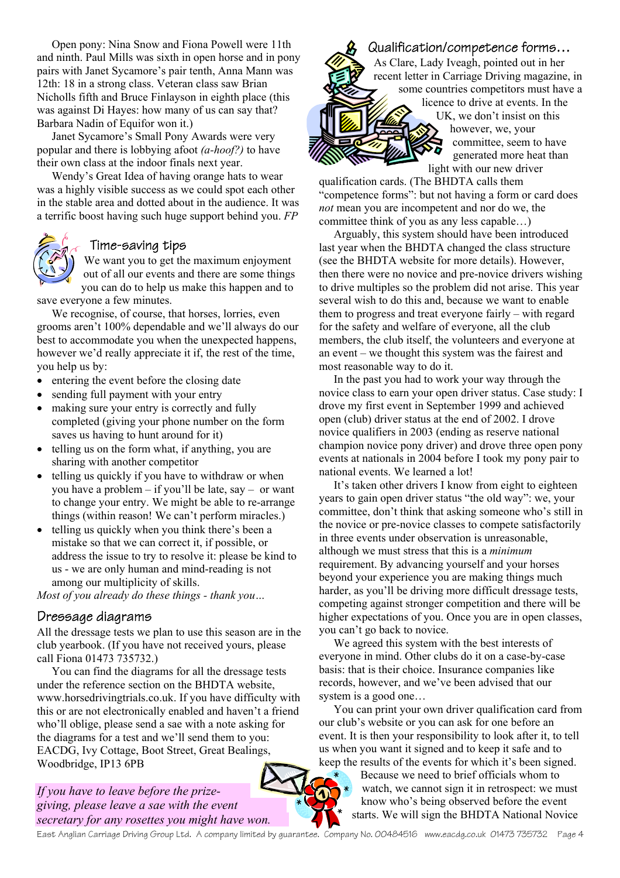Open pony: Nina Snow and Fiona Powell were 11th and ninth. Paul Mills was sixth in open horse and in pony pairs with Janet Sycamore's pair tenth, Anna Mann was 12th: 18 in a strong class. Veteran class saw Brian Nicholls fifth and Bruce Finlayson in eighth place (this was against Di Hayes: how many of us can say that? Barbara Nadin of Equifor won it.)

Janet Sycamore's Small Pony Awards were very popular and there is lobbying afoot *(a-hoof?)* to have their own class at the indoor finals next year.

Wendy's Great Idea of having orange hats to wear was a highly visible success as we could spot each other in the stable area and dotted about in the audience. It was a terrific boost having such huge support behind you. *FP*

#### Time-saving tips

We want you to get the maximum enjoyment out of all our events and there are some things you can do to help us make this happen and to save everyone a few minutes.

We recognise, of course, that horses, lorries, even grooms aren't 100% dependable and we'll always do our best to accommodate you when the unexpected happens, however we'd really appreciate it if, the rest of the time, you help us by:

- entering the event before the closing date
- sending full payment with your entry
- making sure your entry is correctly and fully completed (giving your phone number on the form saves us having to hunt around for it)
- telling us on the form what, if anything, you are sharing with another competitor
- telling us quickly if you have to withdraw or when you have a problem – if you'll be late, say – or want to change your entry. We might be able to re-arrange things (within reason! We can't perform miracles.)
- telling us quickly when you think there's been a mistake so that we can correct it, if possible, or address the issue to try to resolve it: please be kind to us - we are only human and mind-reading is not among our multiplicity of skills.

*Most of you already do these things - thank you…* 

#### Dressage diagrams

All the dressage tests we plan to use this season are in the club yearbook. (If you have not received yours, please call Fiona 01473 735732.)

You can find the diagrams for all the dressage tests under the reference section on the BHDTA website, www.horsedrivingtrials.co.uk. If you have difficulty with this or are not electronically enabled and haven't a friend who'll oblige, please send a sae with a note asking for the diagrams for a test and we'll send them to you: EACDG, Ivy Cottage, Boot Street, Great Bealings, Woodbridge, IP13 6PB

*If you have to leave before the prizegiving, please leave a sae with the event secretary for any rosettes you might have won.* 



qualification cards. (The BHDTA calls them "competence forms": but not having a form or card does *not* mean you are incompetent and nor do we, the committee think of you as any less capable…)

 Arguably, this system should have been introduced last year when the BHDTA changed the class structure (see the BHDTA website for more details). However, then there were no novice and pre-novice drivers wishing to drive multiples so the problem did not arise. This year several wish to do this and, because we want to enable them to progress and treat everyone fairly – with regard for the safety and welfare of everyone, all the club members, the club itself, the volunteers and everyone at an event – we thought this system was the fairest and most reasonable way to do it.

 In the past you had to work your way through the novice class to earn your open driver status. Case study: I drove my first event in September 1999 and achieved open (club) driver status at the end of 2002. I drove novice qualifiers in 2003 (ending as reserve national champion novice pony driver) and drove three open pony events at nationals in 2004 before I took my pony pair to national events. We learned a lot!

 It's taken other drivers I know from eight to eighteen years to gain open driver status "the old way": we, your committee, don't think that asking someone who's still in the novice or pre-novice classes to compete satisfactorily in three events under observation is unreasonable, although we must stress that this is a *minimum* requirement. By advancing yourself and your horses beyond your experience you are making things much harder, as you'll be driving more difficult dressage tests, competing against stronger competition and there will be higher expectations of you. Once you are in open classes, you can't go back to novice.

 We agreed this system with the best interests of everyone in mind. Other clubs do it on a case-by-case basis: that is their choice. Insurance companies like records, however, and we've been advised that our system is a good one…

 You can print your own driver qualification card from our club's website or you can ask for one before an event. It is then your responsibility to look after it, to tell us when you want it signed and to keep it safe and to keep the results of the events for which it's been signed.

Because we need to brief officials whom to watch, we cannot sign it in retrospect: we must know who's being observed before the event starts. We will sign the BHDTA National Novice

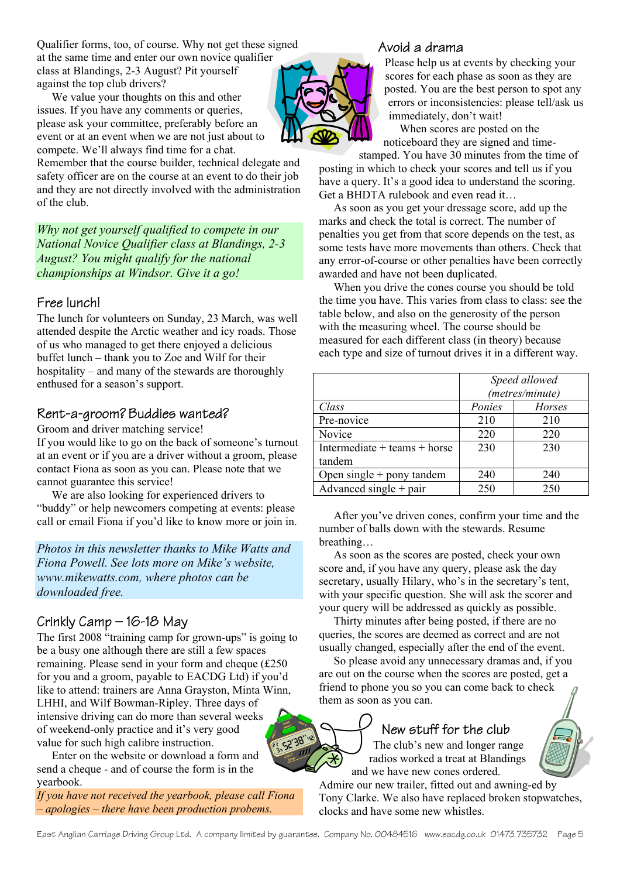Qualifier forms, too, of course. Why not get these signed at the same time and enter our own novice qualifier class at Blandings, 2-3 August? Pit yourself against the top club drivers?

 We value your thoughts on this and other issues. If you have any comments or queries, please ask your committee, preferably before an event or at an event when we are not just about to compete. We'll always find time for a chat.

Remember that the course builder, technical delegate and safety officer are on the course at an event to do their job and they are not directly involved with the administration of the club.

*Why not get yourself qualified to compete in our National Novice Qualifier class at Blandings, 2-3 August? You might qualify for the national championships at Windsor. Give it a go!* 

#### Free lunch!

The lunch for volunteers on Sunday, 23 March, was well attended despite the Arctic weather and icy roads. Those of us who managed to get there enjoyed a delicious buffet lunch – thank you to Zoe and Wilf for their hospitality – and many of the stewards are thoroughly enthused for a season's support.

## Rent-a-groom? Buddies wanted?

Groom and driver matching service!

If you would like to go on the back of someone's turnout at an event or if you are a driver without a groom, please contact Fiona as soon as you can. Please note that we cannot guarantee this service!

 We are also looking for experienced drivers to "buddy" or help newcomers competing at events: please call or email Fiona if you'd like to know more or join in.

*Photos in this newsletter thanks to Mike Watts and Fiona Powell. See lots more on Mike's website, www.mikewatts.com, where photos can be downloaded free.* 

# Crinkly Camp – 16-18 May

The first 2008 "training camp for grown-ups" is going to be a busy one although there are still a few spaces remaining. Please send in your form and cheque (£250 for you and a groom, payable to EACDG Ltd) if you'd like to attend: trainers are Anna Grayston, Minta Winn, LHHI, and Wilf Bowman-Ripley. Three days of intensive driving can do more than several weeks of weekend-only practice and it's very good value for such high calibre instruction.

 Enter on the website or download a form and send a cheque - and of course the form is in the yearbook.

*If you have not received the yearbook, please call Fiona – apologies – there have been production probems.* 

#### Avoid a drama



Please help us at events by checking your scores for each phase as soon as they are posted. You are the best person to spot any errors or inconsistencies: please tell/ask us immediately, don't wait!

 When scores are posted on the noticeboard they are signed and time-

stamped. You have 30 minutes from the time of posting in which to check your scores and tell us if you have a query. It's a good idea to understand the scoring. Get a BHDTA rulebook and even read it…

 As soon as you get your dressage score, add up the marks and check the total is correct. The number of penalties you get from that score depends on the test, as some tests have more movements than others. Check that any error-of-course or other penalties have been correctly awarded and have not been duplicated.

 When you drive the cones course you should be told the time you have. This varies from class to class: see the table below, and also on the generosity of the person with the measuring wheel. The course should be measured for each different class (in theory) because each type and size of turnout drives it in a different way.

|                                  | Speed allowed<br>(metres/minute) |        |
|----------------------------------|----------------------------------|--------|
| Class                            | Ponies                           | Horses |
| Pre-novice                       | 210                              | 210    |
| Novice                           | 220                              | 220    |
| Intermediate $+$ teams $+$ horse | 230                              | 230    |
| tandem                           |                                  |        |
| Open single + pony tandem        | 240                              | 240    |
| Advanced single $+$ pair         | 250                              | 250    |

 After you've driven cones, confirm your time and the number of balls down with the stewards. Resume breathing…

 As soon as the scores are posted, check your own score and, if you have any query, please ask the day secretary, usually Hilary, who's in the secretary's tent, with your specific question. She will ask the scorer and your query will be addressed as quickly as possible.

 Thirty minutes after being posted, if there are no queries, the scores are deemed as correct and are not usually changed, especially after the end of the event.

 So please avoid any unnecessary dramas and, if you are out on the course when the scores are posted, get a friend to phone you so you can come back to check them as soon as you can.

# New stuff for the club

The club's new and longer range radios worked a treat at Blandings and we have new cones ordered.

Admire our new trailer, fitted out and awning-ed by Tony Clarke. We also have replaced broken stopwatches, clocks and have some new whistles.